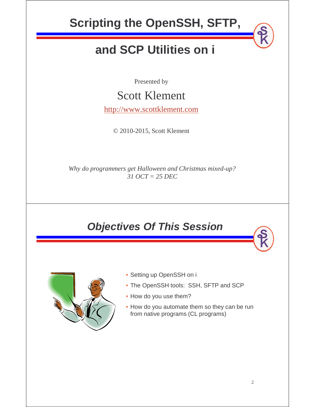

## **Objectives Of This Session**



- Setting up OpenSSH on i
- The OpenSSH tools: SSH, SFTP and SCP
- How do you use them?
- How do you automate them so they can be run from native programs (CL programs)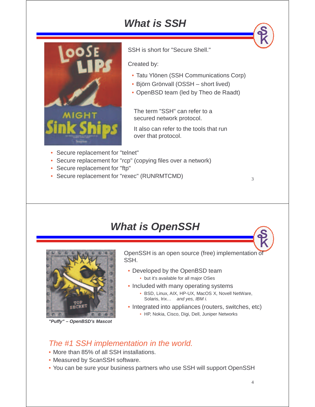# **What is SSH**



SSH is short for "Secure Shell."

Created by:

- Tatu Ylönen (SSH Communications Corp)
- Björn Grönvall (OSSH short lived)
- OpenBSD team (led by Theo de Raadt)

The term "SSH" can refer to a secured network protocol.

It also can refer to the tools that run over that protocol.

- Secure replacement for "telnet"
- Secure replacement for "rcp" (copying files over a network)
- Secure replacement for "ftp"
- Secure replacement for "rexec" (RUNRMTCMD)

### **What is OpenSSH**



**"Puffy" – OpenBSD's Mascot**

OpenSSH is an open source (free) implementation of SSH.

- Developed by the OpenBSD team • but it's available for all major OSes
- Included with many operating systems
	- BSD, Linux, AIX, HP-UX, MacOS X, Novell NetWare, Solaris, Irix... and yes, IBM i.
- Integrated into appliances (routers, switches, etc)
	- HP, Nokia, Cisco, Digi, Dell, Juniper Networks

#### The #1 SSH implementation in the world.

- More than 85% of all SSH installations.
- Measured by ScanSSH software.
- You can be sure your business partners who use SSH will support OpenSSH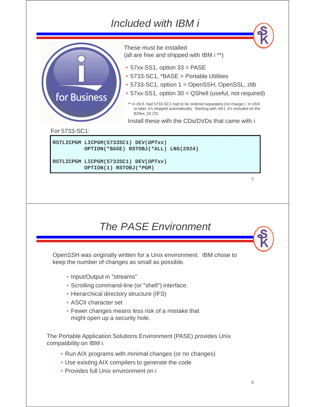### Included with IBM i



## The PASE Environment

OpenSSH was originally written for a Unix environment. IBM chose to keep the number of changes as small as possible.

- Input/Output in "streams"
- Scrolling command-line (or "shell") interface.
- Hierarchical directory structure (IFS)
- ASCII character set
- Fewer changes means less risk of a mistake that might open up a security hole.

The Portable Application Solutions Environment (PASE) provides Unix compatibility on IBM i.

- Run AIX programs with minimal changes (or no changes)
- Use existing AIX compilers to generate the code
- Provides full Unix environment on i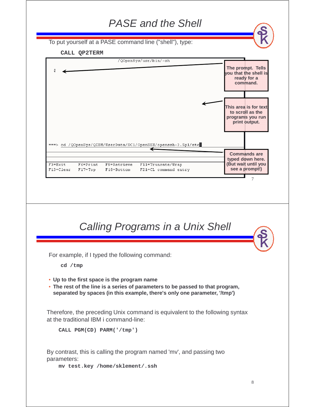| <b>PASE</b> and the Shell                                                                                                                                                                                             |                                                                                                                                                            |  |
|-----------------------------------------------------------------------------------------------------------------------------------------------------------------------------------------------------------------------|------------------------------------------------------------------------------------------------------------------------------------------------------------|--|
| To put yourself at a PASE command line ("shell"), type:                                                                                                                                                               |                                                                                                                                                            |  |
| CALL QP2TERM                                                                                                                                                                                                          |                                                                                                                                                            |  |
| /QOpenSys/usr/bin/-sh                                                                                                                                                                                                 | nicipionomiclis<br>you that the shell is<br><b>ICacy forma</b><br>eommand<br><b>INSTRUMENT OF CAT</b><br>to scroll as the<br>Diodrams vou tum<br>ormcoupus |  |
| ===> cd /QOpenSys/QIBM/UserData/SC1/OpenSSH/openssh-3.5p1/etc<br>$F3 = Exit$<br>F6=Print<br>F9=Retrieve<br>F11=Truncate/Wrap<br>F13=Clear<br>F21=CL command entry<br>$F17 = Top$<br>F18=Bottom                        | <b>Commands</b> are<br>typed down here.<br>(Ettiavaliannilavon<br><b>SCOREDIOINE</b><br>7                                                                  |  |
| <b>Calling Programs in a Unix Shell</b>                                                                                                                                                                               |                                                                                                                                                            |  |
| For example, if I typed the following command:                                                                                                                                                                        |                                                                                                                                                            |  |
| cd /tmp<br>• Up to the first space is the program name<br>• The rest of the line is a series of parameters to be passed to that program,<br>separated by spaces (in this example, there's only one parameter, '/tmp') |                                                                                                                                                            |  |
| Therefore, the preceding Unix command is equivalent to the following syntax<br>at the traditional IBM i command-line:                                                                                                 |                                                                                                                                                            |  |
| CALL PGM(CD) PARM('/tmp')                                                                                                                                                                                             |                                                                                                                                                            |  |
| By contrast, this is calling the program named 'mv', and passing two<br>parameters:<br>mv test.key /home/sklement/.ssh                                                                                                |                                                                                                                                                            |  |
|                                                                                                                                                                                                                       | 8                                                                                                                                                          |  |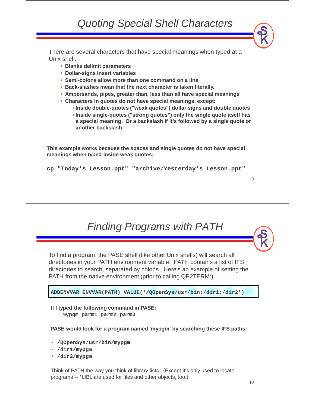There are several characters that have special meanings when typed at a Unix shell.

- **Blanks delimit parameters**
- **Dollar-signs insert variables**
- **Semi-colons allow more than one command on a line**
- **Back-slashes mean that the next character is taken literally.**
- **Ampersands, pipes, greater than, less than all have special meanings**
- **Characters in quotes do not have special meanings, except:**
	- **Inside double-quotes ("weak quotes") dollar signs and double quotes**
	- **Inside single-quotes ("strong quotes") only the single quote itself has a special meaning. Or a backslash if it's followed by a single quote or another backslash.**

**This example works because the spaces and single quotes do not have special meanings when typed inside weak quotes:**

**cp "Today's Lesson.ppt" "archive/Yesterday's Lesson.ppt"**

## Finding Programs with PATH

To find a program, the PASE shell (like other Unix shells) will search all directories in your PATH environment variable. PATH contains a list of IFS directories to search, separated by colons. Here's an example of setting the PATH from the native environment (prior to calling QP2TERM:)

**ADDENVVAR ENVVAR(PATH) VALUE('/QOpenSys/usr/bin:/dir1:/dir2')**

**If I typed the following command in PASE: mypgm parm1 parm2 parm3**

**PASE would look for a program named 'mypgm' by searching these IFS paths:**

- **/QOpenSys/usr/bin/mypgm**
- **/dir1/mypgm**
- **/dir2/mypgm**

Think of PATH the way you think of library lists. (Except it's only used to locate programs -- \*LIBL are used for files and other objects, too.)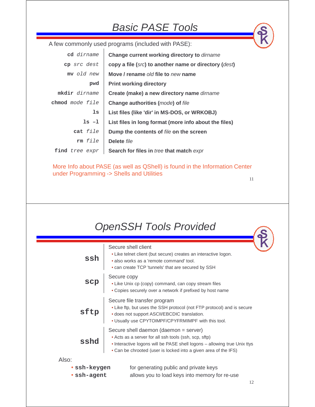### Basic PASE Tools

A few commonly used programs (included with PASE):

| cd dirname      | Change current working directory to dirname           |  |
|-----------------|-------------------------------------------------------|--|
| cp src dest     | copy a file (src) to another name or directory (dest) |  |
| my old new      | Move / rename old file to new name                    |  |
| pwd             | <b>Print working directory</b>                        |  |
| mkdir dirname   | Create (make) a new directory name dirname            |  |
| chmod mode file | <b>Change authorities (mode) of file</b>              |  |
| ls              | List files (like 'dir' in MS-DOS, or WRKOBJ)          |  |
| $ls -1$         | List files in long format (more info about the files) |  |
| cat file        | Dump the contents of file on the screen               |  |
| rm file         | Delete file                                           |  |
| find tree expr  | Search for files in tree that match expr              |  |

11 More Info about PASE (as well as QShell) is found in the Information Center under Programming -> Shells and Utilities

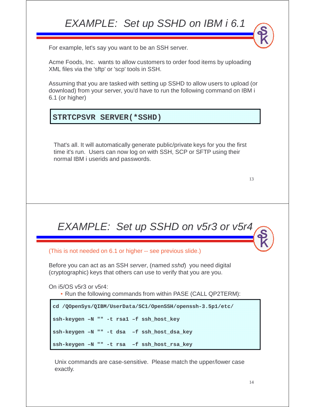# EXAMPLE: Set up SSHD on IBM i 6.1 For example, let's say you want to be an SSH server. Acme Foods, Inc. wants to allow customers to order food items by uploading XML files via the 'sftp' or 'scp' tools in SSH. Assuming that you are tasked with setting up SSHD to allow users to upload (or download) from your server, you'd have to run the following command on IBM i 6.1 (or higher)

#### **STRTCPSVR SERVER(\*SSHD)**

That's all. It will automatically generate public/private keys for you the first time it's run. Users can now log on with SSH, SCP or SFTP using their normal IBM i userids and passwords.

13

# EXAMPLE: Set up SSHD on v5r3 or v5r4

(This is not needed on 6.1 or higher -- see previous slide.)

Before you can act as an SSH server, (named sshd) you need digital (cryptographic) keys that others can use to verify that you are you.

On i5/OS v5r3 or v5r4:

• Run the following commands from within PASE (CALL QP2TERM):

```
cd /QOpenSys/QIBM/UserData/SC1/OpenSSH/openssh-3.5p1/etc/
ssh-keygen –N "" -t rsa1 –f ssh_host_key
ssh-keygen –N "" -t dsa –f ssh_host_dsa_key
ssh-keygen –N "" -t rsa –f ssh_host_rsa_key
```
Unix commands are case-sensitive. Please match the upper/lower case exactly.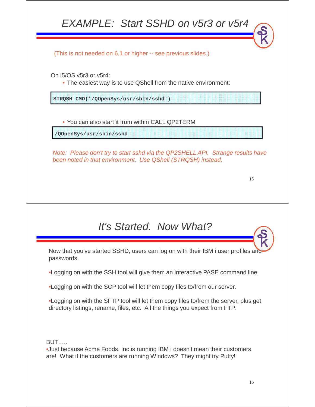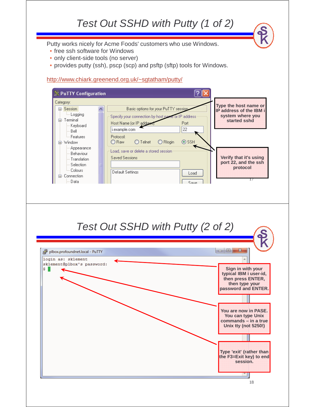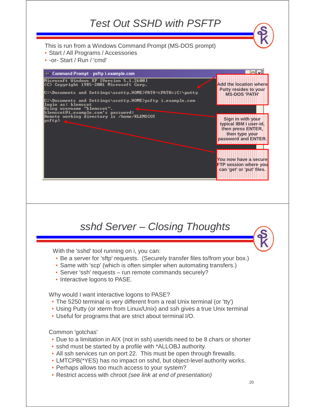

• Restrict access with chroot (see link at end of presentation)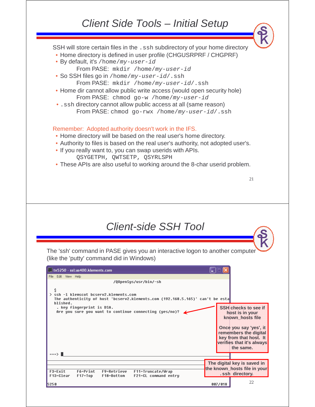### Client Side Tools – Initial Setup

SSH will store certain files in the . ssh subdirectory of your home directory • Home directory is defined in user profile (CHGUSRPRF / CHGPRF) • By default, it's / home/my-user-id From PASE: mkdir /home/my-user-id • So SSH files go in /home/my-user-id/.ssh From PASE: mkdir /home/my-user-id/.ssh • Home dir cannot allow public write access (would open security hole) From PASE: chmod go-w /home/my-user-id •.ssh directory cannot allow public access at all (same reason) From PASE: chmod go-rwx /home/my-user-id/.ssh Remember: Adopted authority doesn't work in the IFS. • Home directory will be based on the real user's home directory. • Authority to files is based on the real user's authority, not adopted user's. • If you really want to, you can swap userids with APIs. QSYGETPH, QWTSETP, QSYRLSPH • These APIs are also useful to working around the 8-char userid problem. 21 Client-side SSH Tool The 'ssh' command in PASE gives you an interactive logon to another computer (like the 'putty' command did in Windows)  $\mathbb{Z}$  tn5250 - ssl:as400.klements.com File Edit View Help /QOpenSys/usr/bin/-sh > ssh -1 klemscot bcserv2.klements.com The authenticity of host 'bcserv2.klements.com (192.168.5.165)' can't be esta blished. . key fingerprint is DSA. **SSH checks to see if**  Are you sure you want to continue connecting (yes/no)?  $\blacktriangle$ **host is in your known\_hosts file Once you say 'yes', it remembers the digital key from that host. It verifies that it's always the same.**

> **The digital key is saved in the known\_hosts file in your**  F11=Truncate/Wrap F6=Print F9=Retrieve **.ssh directory.** $F17 = Top$ F18=Bottom F21=CL command entry 22 007/018

===> ∎

F3=Exit

5250

F13=Clear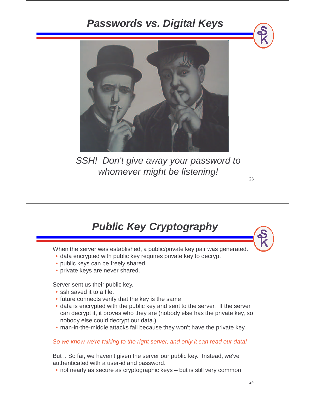### **Passwords vs. Digital Keys**



SSH! Don't give away your password to whomever might be listening!

## **Public Key Cryptography**

When the server was established, a public/private key pair was generated.

- data encrypted with public key requires private key to decrypt
- public keys can be freely shared.
- private keys are never shared.

Server sent us their public key.

- ssh saved it to a file.
- future connects verify that the key is the same
- data is encrypted with the public key and sent to the server. If the server can decrypt it, it proves who they are (nobody else has the private key, so nobody else could decrypt our data.)
- man-in-the-middle attacks fail because they won't have the private key.

#### So we know we're talking to the right server, and only it can read our data!

But .. So far, we haven't given the server our public key. Instead, we've authenticated with a user-id and password.

• not nearly as secure as cryptographic keys – but is still very common.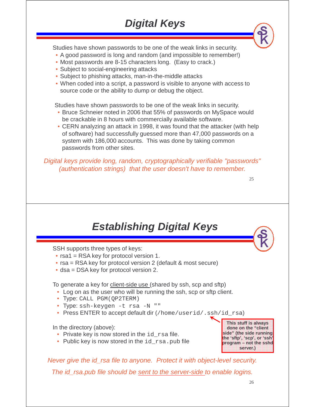# **Digital Keys**

Studies have shown passwords to be one of the weak links in security.

- A good password is long and random (and impossible to remember!)
- Most passwords are 8-15 characters long. (Easy to crack.)
- Subject to social-engineering attacks
- Subject to phishing attacks, man-in-the-middle attacks
- When coded into a script, a password is visible to anyone with access to source code or the ability to dump or debug the object.

Studies have shown passwords to be one of the weak links in security.

- Bruce Schneier noted in 2006 that 55% of passwords on MySpace would be crackable in 8 hours with commercially available software.
- CERN analyzing an attack in 1998, it was found that the attacker (with help of software) had successfully guessed more than 47,000 passwords on a system with 186,000 accounts. This was done by taking common passwords from other sites.

Digital keys provide long, random, cryptographically verifiable "passwords" (authentication strings) that the user doesn't have to remember.

# **Establishing Digital Keys**

SSH supports three types of keys:

- rsa1 = RSA key for protocol version 1.
- rsa = RSA key for protocol version 2 (default & most secure)
- dsa = DSA key for protocol version 2.

To generate a key for client-side use (shared by ssh, scp and sftp)

- Log on as the user who will be running the ssh, scp or sftp client.
- Type: CALL PGM(QP2TERM)
- Type: ssh-keygen -t rsa -N ""
- Press ENTER to accept default dir (/home/userid/.ssh/id\_rsa)

In the directory (above):

- Private key is now stored in the  $id$  rsa file.
- Public key is now stored in the  $id\_rsa$ . pub file

**This stuff is always done on the "client side" (the side running the 'sftp', 'scp', or 'ssh' program – not the sshd server.)**

25

Never give the id\_rsa file to anyone. Protect it with object-level security.

The id\_rsa.pub file should be sent to the server-side to enable logins.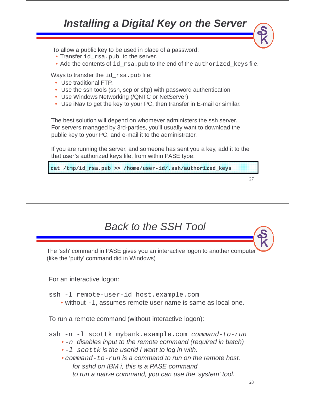### 27 **Installing a Digital Key on the Server** To allow a public key to be used in place of a password: • Transfer id\_rsa.pub to the server. • Add the contents of id\_rsa.pub to the end of the authorized\_keys file. The best solution will depend on whomever administers the ssh server. For servers managed by 3rd-parties, you'll usually want to download the public key to your PC, and e-mail it to the administrator. If you are running the server, and someone has sent you a key, add it to the that user's authorized keys file, from within PASE type: Ways to transfer the id rsa.pub file: • Use traditional FTP. • Use the ssh tools (ssh, scp or sftp) with password authentication • Use Windows Networking (/QNTC or NetServer) • Use iNav to get the key to your PC, then transfer in E-mail or similar. **cat /tmp/id\_rsa.pub >> /home/user-id/.ssh/authorized\_keys** Back to the SSH Tool The 'ssh' command in PASE gives you an interactive logon to another computer (like the 'putty' command did in Windows) For an interactive logon: ssh -l remote-user-id host.example.com • without  $-1$ , assumes remote user name is same as local one. To run a remote command (without interactive logon): ssh -n -l scottk mybank.example.com command-to-run  $\bullet$  -n disables input to the remote command (required in batch)  $\cdot$  -1 scottk is the userid I want to log in with. • command-to-run is a command to run on the remote host. for sshd on IBM i, this is a PASE command to run a native command, you can use the 'system' tool.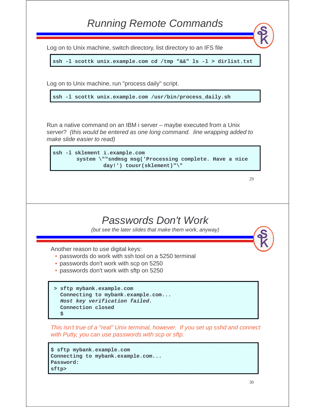|   | <b>Running Remote Commands</b>                                                                                                                                                   |
|---|----------------------------------------------------------------------------------------------------------------------------------------------------------------------------------|
|   | Log on to Unix machine, switch directory, list directory to an IFS file                                                                                                          |
|   | ssh -1 scottk unix.example.com cd /tmp "&&" 1s -1 > dirlist.txt                                                                                                                  |
|   | Log on to Unix machine, run "process daily" script.                                                                                                                              |
|   | ssh -1 scottk unix.example.com /usr/bin/process_daily.sh                                                                                                                         |
|   | Run a native command on an IBM i server – maybe executed from a Unix<br>server? (this would be entered as one long command. line wrapping added to<br>make slide easier to read) |
|   | ssh -1 sklement i.example.com<br>system \""sndmsg msg('Processing complete. Have a nice<br>day!') tousr(sklement)"\"                                                             |
|   | 29                                                                                                                                                                               |
|   |                                                                                                                                                                                  |
|   | Passwords Don't Work<br>(but see the later slides that make them work, anyway)                                                                                                   |
|   | Another reason to use digital keys:<br>• passwords do work with ssh tool on a 5250 terminal                                                                                      |
|   | · passwords don't work with scp on 5250<br>• passwords don't work with sftp on 5250                                                                                              |
| s | > sftp mybank.example.com<br>Connecting to mybank.example.com<br>Host key verification failed.<br>Connection closed                                                              |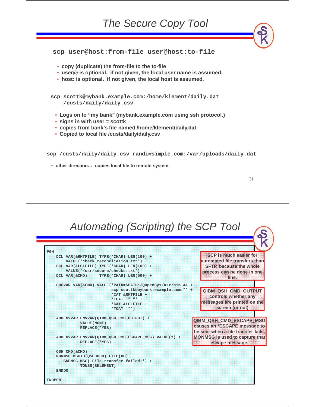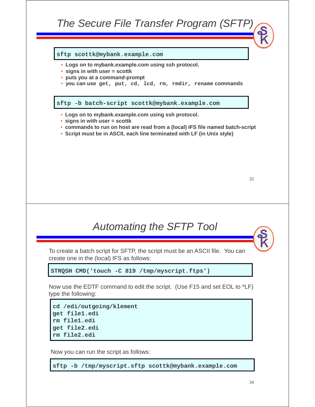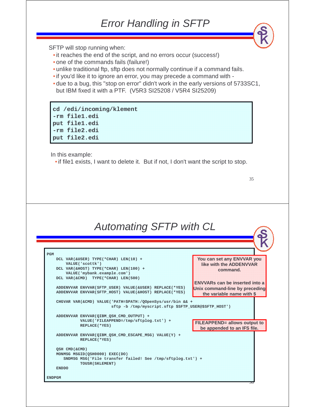### Error Handling in SFTP

SFTP will stop running when:

- it reaches the end of the script, and no errors occur (success!)
- one of the commands fails (failure!)
- unlike traditional ftp, sftp does not normally continue if a command fails.
- •if you'd like it to ignore an error, you may precede a command with -
- due to a bug, this "stop on error" didn't work in the early versions of 5733SC1, but IBM fixed it with a PTF. (V5R3 SI25208 / V5R4 SI25209)

**cd /edi/incoming/klement -rm file1.edi put file1.edi -rm file2.edi put file2.edi**

In this example:

•if file1 exists, I want to delete it. But if not, I don't want the script to stop.

35

# Automating SFTP with CL

| DCL VAR (&USER) TYPE (*CHAR) LEN (10) +                                               | You can set any ENWAR you                                                                                                                                               |
|---------------------------------------------------------------------------------------|-------------------------------------------------------------------------------------------------------------------------------------------------------------------------|
| VALUE('scottk')                                                                       | $\mathbb{R}^n$ , $\mathbb{R}^n$ , $\mathbb{R}^n$ , $\mathbb{R}^n$ , $\mathbb{R}^n$ , $\mathbb{R}^n$ , $\mathbb{R}^n$ , $\mathbb{R}^n$ , $\mathbb{R}^n$ , $\mathbb{R}^n$ |
| DCL VAR (&HOST) TYPE (*CHAR) LEN(100) +                                               |                                                                                                                                                                         |
| VALUE('mybank.example.com')                                                           | rommerinos                                                                                                                                                              |
| DCL VAR(&CMD) TYPE(*CHAR) LEN(500)                                                    |                                                                                                                                                                         |
|                                                                                       | ENWAR CONTRACTOR CONTRACTO                                                                                                                                              |
| ADDENVVAR ENVVAR (SFTP USER) VALUE (&USER) REPLACE (*YES)                             | Unix command line by preceding                                                                                                                                          |
| ADDENVVAR ENVVAR (SFTP HOST) VALUE (& HOST) REPLACE (* YES)                           | the variable name with S                                                                                                                                                |
| CHGVAR VAR(&CMD) VALUE('PATH=\$PATH:/QOpenSys/usr/bin && +                            |                                                                                                                                                                         |
| sftp -b /tmp/myscript.sftp \$SFTP USER@\$SFTP HOST')                                  |                                                                                                                                                                         |
|                                                                                       |                                                                                                                                                                         |
| ADDENVVAR ENVVAR (QIBM QSH CMD OUTPUT) +                                              |                                                                                                                                                                         |
| VALUE('FILEAPPEND=/tmp/sftplog.txt') +                                                | <b>ELEAPPEND</b> allows output to                                                                                                                                       |
| <b>REPLACE</b> ( * YES )                                                              |                                                                                                                                                                         |
|                                                                                       | be appended to an IES file.                                                                                                                                             |
|                                                                                       |                                                                                                                                                                         |
| ADDENVVAR ENVVAR (QIBM QSH CMD ESCAPE MSG) VALUE(Y) +                                 |                                                                                                                                                                         |
| REPLACE ( * YES )                                                                     |                                                                                                                                                                         |
|                                                                                       |                                                                                                                                                                         |
| OSH CMD (&CMD)                                                                        |                                                                                                                                                                         |
| MONMSG MSGID(QSH0000) EXEC(DO)                                                        |                                                                                                                                                                         |
| SNDMSG MSG('File transfer failed! See /tmp/sftplog.txt') +<br><b>TOUSR (SKLEMENT)</b> |                                                                                                                                                                         |
| <b>ENDDO</b>                                                                          |                                                                                                                                                                         |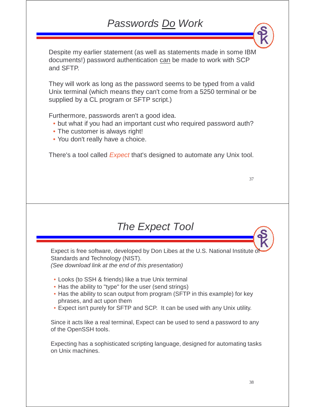## Passwords Do Work

Despite my earlier statement (as well as statements made in some IBM documents!) password authentication can be made to work with SCP and SFTP.

They will work as long as the password seems to be typed from a valid Unix terminal (which means they can't come from a 5250 terminal or be supplied by a CL program or SFTP script.)

Furthermore, passwords aren't a good idea.

- but what if you had an important cust who required password auth?
- The customer is always right!
- You don't really have a choice.

There's a tool called *Expect* that's designed to automate any Unix tool.

| ٠<br>٠             | ٠ |
|--------------------|---|
| ۰,<br>۹<br>×<br>۰. | ۰ |

### The Expect Tool

Expect is free software, developed by Don Libes at the U.S. National Institute of Standards and Technology (NIST). (See download link at the end of this presentation)

- Looks (to SSH & friends) like a true Unix terminal
- Has the ability to "type" for the user (send strings)
- Has the ability to scan output from program (SFTP in this example) for key phrases, and act upon them
- Expect isn't purely for SFTP and SCP. It can be used with any Unix utility.

Since it acts like a real terminal, Expect can be used to send a password to any of the OpenSSH tools.

Expecting has a sophisticated scripting language, designed for automating tasks on Unix machines.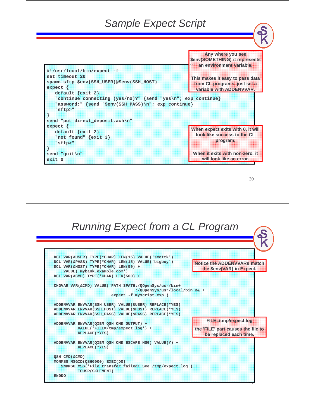### Sample Expect Script